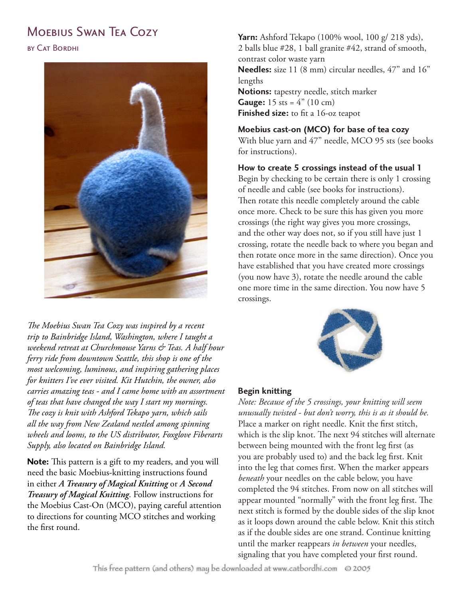# MOEBIUS SWAN TEA COZY



*The Moebius Swan Tea Cozy was inspired by a recent trip to Bainbridge Island, Washington, where I taught a weekend retreat at Churchmouse Yarns & Teas. A half hour ferry ride from downtown Seattle, this shop is one of the most welcoming, luminous, and inspiring gathering places for knitters I've ever visited. Kit Hutchin, the owner, also carries amazing teas - and I came home with an assortment of teas that have changed the way I start my mornings. The cozy is knit with Ashford Tekapo yarn, which sails all the way from New Zealand nestled among spinning wheels and looms, to the US distributor, Foxglove Fiberarts Supply, also located on Bainbridge Island.*

**Note:** This pattern is a gift to my readers, and you will need the basic Moebius-knitting instructions found in either *A Treasury of Magical Knitting* or *A Second Treasury of Magical Knitting*. Follow instructions for the Moebius Cast-On (MCO), paying careful attention to directions for counting MCO stitches and working the first round.

**Yarn:** Ashford Tekapo (100% wool, 100 g/ 218 yds), 2 balls blue #28, 1 ball granite #42, strand of smooth, contrast color waste yarn **Needles:** size 11 (8 mm) circular needles, 47" and 16" lengths **Notions:** tapestry needle, stitch marker **Gauge:**  $15$  sts =  $4''$  ( $10$  cm) **Finished size:** to fit a 16-oz teapot

## **Moebius cast-on (MCO) for base of tea cozy**

With blue yarn and 47" needle, MCO 95 sts (see books for instructions).

## **How to create 5 crossings instead of the usual 1**

Begin by checking to be certain there is only 1 crossing of needle and cable (see books for instructions). Then rotate this needle completely around the cable once more. Check to be sure this has given you more crossings (the right way gives you more crossings, and the other way does not, so if you still have just 1 crossing, rotate the needle back to where you began and then rotate once more in the same direction). Once you have established that you have created more crossings (you now have 3), rotate the needle around the cable one more time in the same direction. You now have 5 crossings.



**Begin knitting** *Note: Because of the 5 crossings, your knitting will seem unusually twisted - but don't worry, this is as it should be.* Place a marker on right needle. Knit the first stitch, which is the slip knot. The next 94 stitches will alternate between being mounted with the front leg first (as you are probably used to) and the back leg first. Knit into the leg that comes first. When the marker appears *beneath* your needles on the cable below, you have completed the 94 stitches. From now on all stitches will appear mounted "normally" with the front leg first. The next stitch is formed by the double sides of the slip knot as it loops down around the cable below. Knit this stitch as if the double sides are one strand. Continue knitting until the marker reappears *in between* your needles, signaling that you have completed your first round.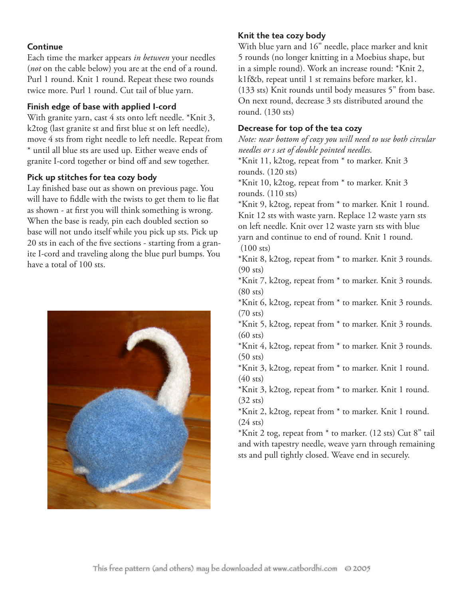**Continue**  Each time the marker appears *in between* your needles (*not* on the cable below) you are at the end of a round. Purl 1 round. Knit 1 round. Repeat these two rounds twice more. Purl 1 round. Cut tail of blue yarn.

**Finish edge of base with applied I-cord** With granite yarn, cast 4 sts onto left needle. \*Knit 3, k2tog (last granite st and first blue st on left needle), move 4 sts from right needle to left needle. Repeat from \* until all blue sts are used up. Either weave ends of granite I-cord together or bind off and sew together.

**Pick up stitches for tea cozy body**  Lay finished base out as shown on previous page. You will have to fiddle with the twists to get them to lie flat as shown - at first you will think something is wrong. When the base is ready, pin each doubled section so base will not undo itself while you pick up sts. Pick up 20 sts in each of the five sections - starting from a granite I-cord and traveling along the blue purl bumps. You have a total of 100 sts.



**Knit the tea cozy body**  With blue yarn and 16" needle, place marker and knit 5 rounds (no longer knitting in a Moebius shape, but in a simple round). Work an increase round: \*Knit 2, k1f&b, repeat until 1 st remains before marker, k1. (133 sts) Knit rounds until body measures 5" from base. On next round, decrease 3 sts distributed around the round. (130 sts)

**Decrease for top of the tea cozy**  *Note: near bottom of cozy you will need to use both circular needles or s set of double pointed needles.*

\*Knit 11, k2tog, repeat from \* to marker. Knit 3 rounds. (120 sts)

\*Knit 10, k2tog, repeat from \* to marker. Knit 3 rounds. (110 sts)

\*Knit 9, k2tog, repeat from \* to marker. Knit 1 round. Knit 12 sts with waste yarn. Replace 12 waste yarn sts on left needle. Knit over 12 waste yarn sts with blue yarn and continue to end of round. Knit 1 round.  $(100$  sts)

\*Knit 8, k2tog, repeat from \* to marker. Knit 3 rounds. (90 sts)

\*Knit 7, k2tog, repeat from \* to marker. Knit 3 rounds. (80 sts)

\*Knit 6, k2tog, repeat from \* to marker. Knit 3 rounds. (70 sts)

\*Knit 5, k2tog, repeat from \* to marker. Knit 3 rounds. (60 sts)

\*Knit 4, k2tog, repeat from \* to marker. Knit 3 rounds. (50 sts)

\*Knit 3, k2tog, repeat from \* to marker. Knit 1 round.  $(40$  sts)

\*Knit 3, k2tog, repeat from \* to marker. Knit 1 round.  $(32$  sts)

\*Knit 2, k2tog, repeat from \* to marker. Knit 1 round.  $(24 \text{ sts})$ 

\*Knit 2 tog, repeat from \* to marker. (12 sts) Cut 8" tail and with tapestry needle, weave yarn through remaining sts and pull tightly closed. Weave end in securely.